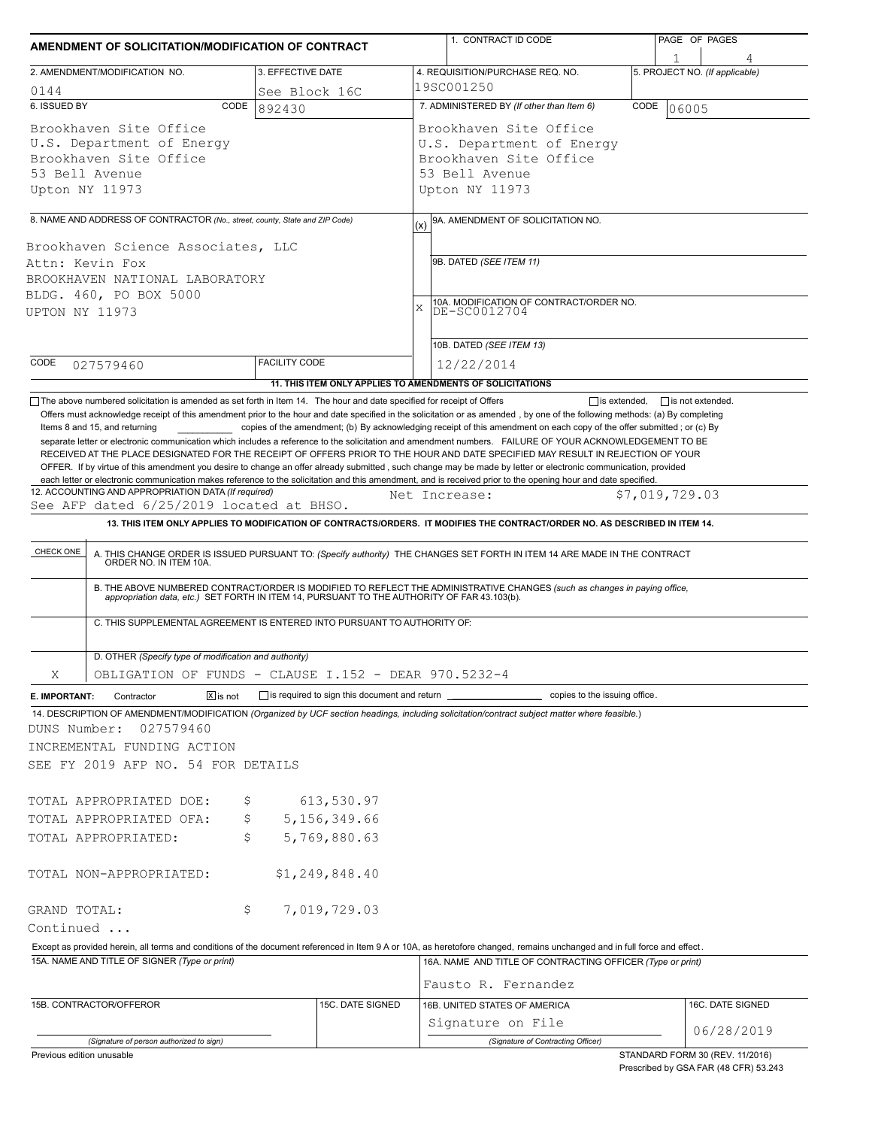| AMENDMENT OF SOLICITATION/MODIFICATION OF CONTRACT                                                                                                                                                                                                                                                                                                                                                                                                                                                                        |                         |                                                           |               | 1. CONTRACT ID CODE                                                                                                         |                | PAGE OF PAGES                                                            |
|---------------------------------------------------------------------------------------------------------------------------------------------------------------------------------------------------------------------------------------------------------------------------------------------------------------------------------------------------------------------------------------------------------------------------------------------------------------------------------------------------------------------------|-------------------------|-----------------------------------------------------------|---------------|-----------------------------------------------------------------------------------------------------------------------------|----------------|--------------------------------------------------------------------------|
| 2. AMENDMENT/MODIFICATION NO.                                                                                                                                                                                                                                                                                                                                                                                                                                                                                             | 3. EFFECTIVE DATE       |                                                           |               | 4. REQUISITION/PURCHASE REQ. NO.                                                                                            |                | 5. PROJECT NO. (If applicable)                                           |
|                                                                                                                                                                                                                                                                                                                                                                                                                                                                                                                           |                         |                                                           | 19SC001250    |                                                                                                                             |                |                                                                          |
| 0144<br>6. ISSUED BY<br>CODE                                                                                                                                                                                                                                                                                                                                                                                                                                                                                              | See Block 16C<br>892430 |                                                           |               | 7. ADMINISTERED BY (If other than Item 6)                                                                                   | CODE           | 06005                                                                    |
| Brookhaven Site Office<br>U.S. Department of Energy<br>Brookhaven Site Office<br>53 Bell Avenue<br>Upton NY 11973                                                                                                                                                                                                                                                                                                                                                                                                         |                         |                                                           |               | Brookhaven Site Office<br>U.S. Department of Energy<br>Brookhaven Site Office<br>53 Bell Avenue<br>Upton NY 11973           |                |                                                                          |
|                                                                                                                                                                                                                                                                                                                                                                                                                                                                                                                           |                         |                                                           |               |                                                                                                                             |                |                                                                          |
| 8. NAME AND ADDRESS OF CONTRACTOR (No., street, county, State and ZIP Code)                                                                                                                                                                                                                                                                                                                                                                                                                                               |                         |                                                           | (x)           | 9A. AMENDMENT OF SOLICITATION NO.                                                                                           |                |                                                                          |
| Brookhaven Science Associates, LLC<br>Attn: Kevin Fox<br>BROOKHAVEN NATIONAL LABORATORY<br>BLDG. 460, PO BOX 5000<br>UPTON NY 11973                                                                                                                                                                                                                                                                                                                                                                                       |                         |                                                           | X             | 9B. DATED (SEE ITEM 11)<br>10A. MODIFICATION OF CONTRACT/ORDER NO.<br>DE-SC0012704<br>10B. DATED (SEE ITEM 13)              |                |                                                                          |
| CODE                                                                                                                                                                                                                                                                                                                                                                                                                                                                                                                      | <b>FACILITY CODE</b>    |                                                           |               | 12/22/2014                                                                                                                  |                |                                                                          |
| 027579460                                                                                                                                                                                                                                                                                                                                                                                                                                                                                                                 |                         | 11. THIS ITEM ONLY APPLIES TO AMENDMENTS OF SOLICITATIONS |               |                                                                                                                             |                |                                                                          |
| RECEIVED AT THE PLACE DESIGNATED FOR THE RECEIPT OF OFFERS PRIOR TO THE HOUR AND DATE SPECIFIED MAY RESULT IN REJECTION OF YOUR<br>OFFER. If by virtue of this amendment you desire to change an offer already submitted, such change may be made by letter or electronic communication, provided<br>each letter or electronic communication makes reference to the solicitation and this amendment, and is received prior to the opening hour and date specified.<br>12. ACCOUNTING AND APPROPRIATION DATA (If required) |                         |                                                           | Net Increase: |                                                                                                                             | \$7,019,729.03 |                                                                          |
| See AFP dated 6/25/2019 located at BHSO.                                                                                                                                                                                                                                                                                                                                                                                                                                                                                  |                         |                                                           |               |                                                                                                                             |                |                                                                          |
|                                                                                                                                                                                                                                                                                                                                                                                                                                                                                                                           |                         |                                                           |               | 13. THIS ITEM ONLY APPLIES TO MODIFICATION OF CONTRACTS/ORDERS. IT MODIFIES THE CONTRACT/ORDER NO. AS DESCRIBED IN ITEM 14. |                |                                                                          |
| A. THIS CHANGE ORDER IS ISSUED PURSUANT TO: (Specify authority) THE CHANGES SET FORTH IN ITEM 14 ARE MADE IN THE CONTRACT ORDER NO. IN ITEM 10A.<br>B. THE ABOVE NUMBERED CONTRACT/ORDER IS MODIFIED TO REFLECT THE ADMINISTRATIVE CHANGES (such as changes in paying office,<br>appropriation data, etc.) SET FORTH IN ITEM 14, PURSUANT TO THE AUTHORITY OF FAR 43.103(b).<br>C. THIS SUPPLEMENTAL AGREEMENT IS ENTERED INTO PURSUANT TO AUTHORITY OF:                                                                  |                         |                                                           |               |                                                                                                                             |                |                                                                          |
| D. OTHER (Specify type of modification and authority)                                                                                                                                                                                                                                                                                                                                                                                                                                                                     |                         |                                                           |               |                                                                                                                             |                |                                                                          |
| OBLIGATION OF FUNDS - CLAUSE I.152 - DEAR 970.5232-4<br>Χ                                                                                                                                                                                                                                                                                                                                                                                                                                                                 |                         |                                                           |               |                                                                                                                             |                |                                                                          |
| $\boxed{\mathsf{X}}$ is not<br>Contractor<br>E. IMPORTANT:                                                                                                                                                                                                                                                                                                                                                                                                                                                                |                         | is required to sign this document and return ______       |               | copies to the issuing office.                                                                                               |                |                                                                          |
| 14. DESCRIPTION OF AMENDMENT/MODIFICATION (Organized by UCF section headings, including solicitation/contract subject matter where feasible.)<br>DUNS Number:<br>027579460<br>INCREMENTAL FUNDING ACTION<br>SEE FY 2019 AFP NO. 54 FOR DETAILS                                                                                                                                                                                                                                                                            |                         |                                                           |               |                                                                                                                             |                |                                                                          |
| TOTAL APPROPRIATED DOE:                                                                                                                                                                                                                                                                                                                                                                                                                                                                                                   | Ş                       | 613,530.97                                                |               |                                                                                                                             |                |                                                                          |
| TOTAL APPROPRIATED OFA:                                                                                                                                                                                                                                                                                                                                                                                                                                                                                                   | \$                      | 5,156,349.66                                              |               |                                                                                                                             |                |                                                                          |
| TOTAL APPROPRIATED:                                                                                                                                                                                                                                                                                                                                                                                                                                                                                                       | \$                      | 5,769,880.63                                              |               |                                                                                                                             |                |                                                                          |
| TOTAL NON-APPROPRIATED:                                                                                                                                                                                                                                                                                                                                                                                                                                                                                                   |                         | \$1, 249, 848.40                                          |               |                                                                                                                             |                |                                                                          |
| GRAND TOTAL:                                                                                                                                                                                                                                                                                                                                                                                                                                                                                                              | Ş.                      | 7,019,729.03                                              |               |                                                                                                                             |                |                                                                          |
| Continued                                                                                                                                                                                                                                                                                                                                                                                                                                                                                                                 |                         |                                                           |               |                                                                                                                             |                |                                                                          |
| Except as provided herein, all terms and conditions of the document referenced in Item 9 A or 10A, as heretofore changed, remains unchanged and in full force and effect.                                                                                                                                                                                                                                                                                                                                                 |                         |                                                           |               |                                                                                                                             |                |                                                                          |
| 15A. NAME AND TITLE OF SIGNER (Type or print)                                                                                                                                                                                                                                                                                                                                                                                                                                                                             |                         |                                                           |               | 16A. NAME AND TITLE OF CONTRACTING OFFICER (Type or print)<br>Fausto R. Fernandez                                           |                |                                                                          |
| 15B. CONTRACTOR/OFFEROR                                                                                                                                                                                                                                                                                                                                                                                                                                                                                                   |                         | 15C. DATE SIGNED                                          |               | 16B. UNITED STATES OF AMERICA                                                                                               |                | 16C. DATE SIGNED                                                         |
|                                                                                                                                                                                                                                                                                                                                                                                                                                                                                                                           |                         |                                                           |               | Signature on File                                                                                                           |                |                                                                          |
| (Signature of person authorized to sign)                                                                                                                                                                                                                                                                                                                                                                                                                                                                                  |                         |                                                           |               | (Signature of Contracting Officer)                                                                                          |                | 06/28/2019                                                               |
| Previous edition unusable                                                                                                                                                                                                                                                                                                                                                                                                                                                                                                 |                         |                                                           |               |                                                                                                                             |                | STANDARD FORM 30 (REV. 11/2016)<br>Prescribed by GSA FAR (48 CFR) 53.243 |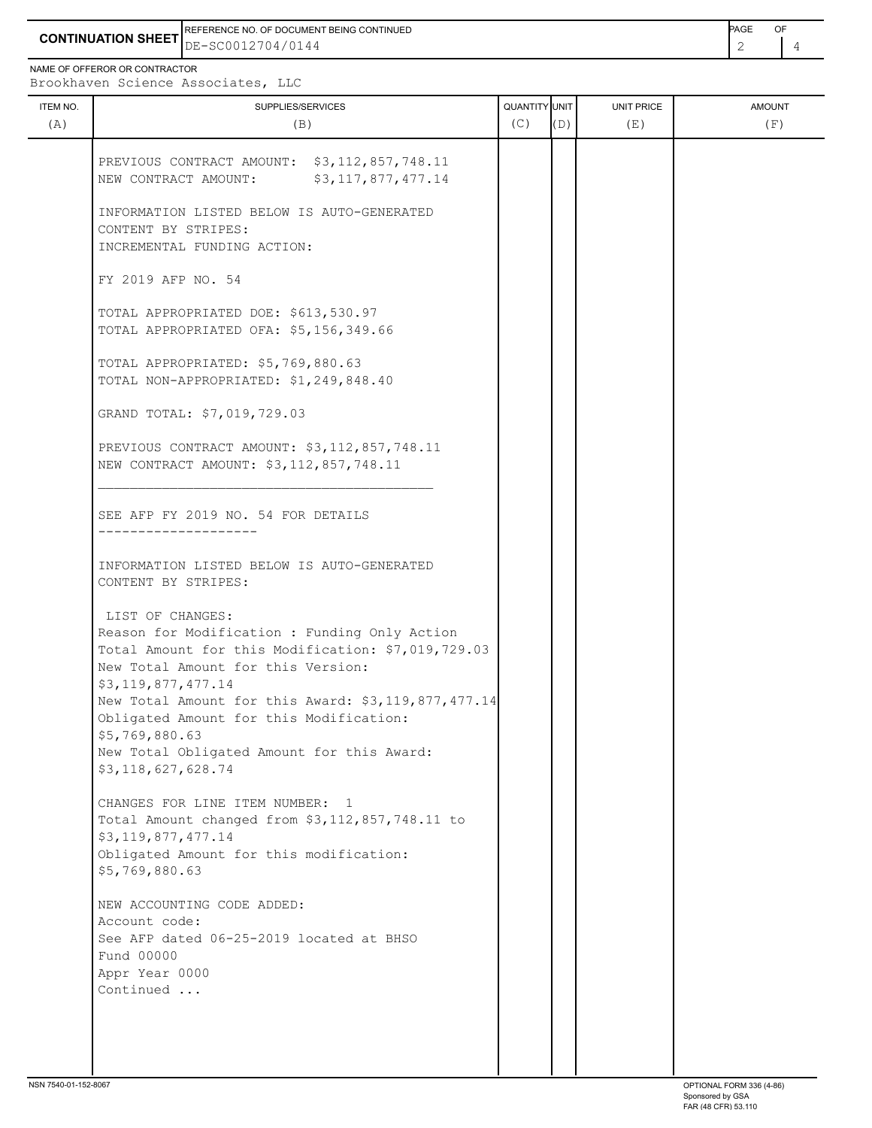**CONTINUATION SHEET** DE-SC0012704/0144 REFERENCE NO. OF DOCUMENT BEING CONTINUED **AGE ACCUMENT ACCUMENT OF A CONTINUED** 

NAME OF OFFEROR OR CONTRACTOR

ITEM NO. ┃ SUPPLIES/SERVICES UNIT PRICE AMOUNT Brookhaven Science Associates, LLC

| <b>ILEM NO.</b><br>(A) | SUPPLIES/SERVICES<br>(B)                                                                                                                                                                                                                                                                                                                                                    | <b>QUANTITI JUNII</b><br>(C) | (D) | UNII PRICE<br>(E) | <b>AMUUNT</b><br>(F) |
|------------------------|-----------------------------------------------------------------------------------------------------------------------------------------------------------------------------------------------------------------------------------------------------------------------------------------------------------------------------------------------------------------------------|------------------------------|-----|-------------------|----------------------|
|                        | PREVIOUS CONTRACT AMOUNT: \$3,112,857,748.11<br>NEW CONTRACT AMOUNT:<br>\$3,117,877,477.14                                                                                                                                                                                                                                                                                  |                              |     |                   |                      |
|                        | INFORMATION LISTED BELOW IS AUTO-GENERATED<br>CONTENT BY STRIPES:<br>INCREMENTAL FUNDING ACTION:                                                                                                                                                                                                                                                                            |                              |     |                   |                      |
|                        | FY 2019 AFP NO. 54                                                                                                                                                                                                                                                                                                                                                          |                              |     |                   |                      |
|                        | TOTAL APPROPRIATED DOE: \$613,530.97<br>TOTAL APPROPRIATED OFA: \$5,156,349.66                                                                                                                                                                                                                                                                                              |                              |     |                   |                      |
|                        | TOTAL APPROPRIATED: \$5,769,880.63<br>TOTAL NON-APPROPRIATED: \$1,249,848.40                                                                                                                                                                                                                                                                                                |                              |     |                   |                      |
|                        | GRAND TOTAL: \$7,019,729.03                                                                                                                                                                                                                                                                                                                                                 |                              |     |                   |                      |
|                        | PREVIOUS CONTRACT AMOUNT: \$3,112,857,748.11<br>NEW CONTRACT AMOUNT: \$3,112,857,748.11                                                                                                                                                                                                                                                                                     |                              |     |                   |                      |
|                        | SEE AFP FY 2019 NO. 54 FOR DETAILS<br>------------------                                                                                                                                                                                                                                                                                                                    |                              |     |                   |                      |
|                        | INFORMATION LISTED BELOW IS AUTO-GENERATED<br>CONTENT BY STRIPES:                                                                                                                                                                                                                                                                                                           |                              |     |                   |                      |
|                        | LIST OF CHANGES:<br>Reason for Modification : Funding Only Action<br>Total Amount for this Modification: \$7,019,729.03<br>New Total Amount for this Version:<br>\$3,119,877,477.14<br>New Total Amount for this Award: \$3,119,877,477.14<br>Obligated Amount for this Modification:<br>\$5,769,880.63<br>New Total Obligated Amount for this Award:<br>\$3,118,627,628.74 |                              |     |                   |                      |
|                        | CHANGES FOR LINE ITEM NUMBER: 1<br>Total Amount changed from \$3,112,857,748.11 to<br>\$3,119,877,477.14<br>Obligated Amount for this modification:<br>\$5,769,880.63                                                                                                                                                                                                       |                              |     |                   |                      |
|                        | NEW ACCOUNTING CODE ADDED:<br>Account code:<br>See AFP dated 06-25-2019 located at BHSO<br>Fund 00000<br>Appr Year 0000<br>Continued                                                                                                                                                                                                                                        |                              |     |                   |                      |
|                        |                                                                                                                                                                                                                                                                                                                                                                             |                              |     |                   |                      |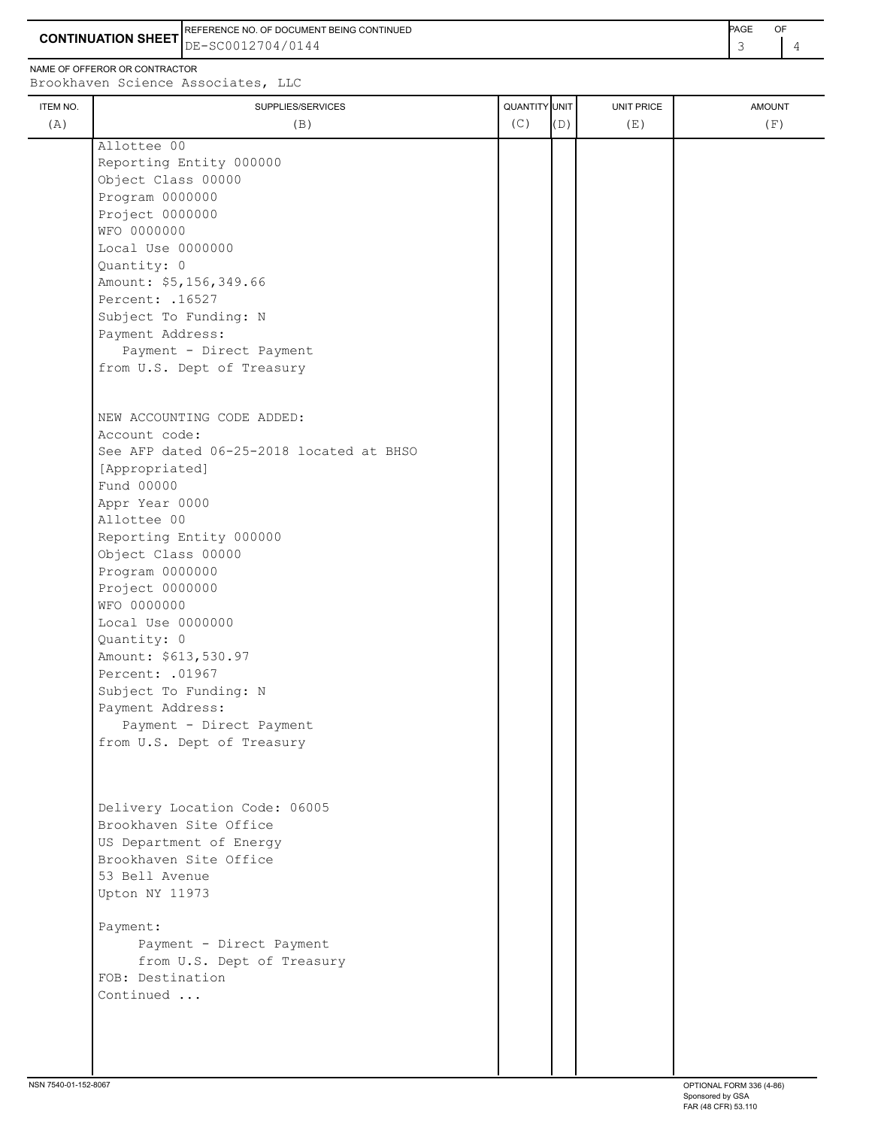**CONTINUATION SHEET** DE-SC0012704/0144 REFERENCE NO. OF DOCUMENT BEING CONTINUED **AGE ACCUMENT ACCUMENT OF A CONTINUED** 

NAME OF OFFEROR OR CONTRACTOR

| ITEM NO.<br>(A) | SUPPLIES/SERVICES<br>(B)                 | QUANTITY UNIT<br>(C) | (D) | <b>UNIT PRICE</b><br>(E) | <b>AMOUNT</b><br>(F) |
|-----------------|------------------------------------------|----------------------|-----|--------------------------|----------------------|
|                 |                                          |                      |     |                          |                      |
|                 | Allottee 00                              |                      |     |                          |                      |
|                 | Reporting Entity 000000                  |                      |     |                          |                      |
|                 | Object Class 00000                       |                      |     |                          |                      |
|                 | Program 0000000                          |                      |     |                          |                      |
|                 | Project 0000000                          |                      |     |                          |                      |
|                 | WFO 0000000                              |                      |     |                          |                      |
|                 | Local Use 0000000                        |                      |     |                          |                      |
|                 | Quantity: 0                              |                      |     |                          |                      |
|                 | Amount: \$5,156,349.66                   |                      |     |                          |                      |
|                 | Percent: . 16527                         |                      |     |                          |                      |
|                 | Subject To Funding: N                    |                      |     |                          |                      |
|                 | Payment Address:                         |                      |     |                          |                      |
|                 | Payment - Direct Payment                 |                      |     |                          |                      |
|                 | from U.S. Dept of Treasury               |                      |     |                          |                      |
|                 |                                          |                      |     |                          |                      |
|                 | NEW ACCOUNTING CODE ADDED:               |                      |     |                          |                      |
|                 | Account code:                            |                      |     |                          |                      |
|                 | See AFP dated 06-25-2018 located at BHSO |                      |     |                          |                      |
|                 | [Appropriated]                           |                      |     |                          |                      |
|                 | Fund 00000                               |                      |     |                          |                      |
|                 | Appr Year 0000                           |                      |     |                          |                      |
|                 | Allottee 00                              |                      |     |                          |                      |
|                 | Reporting Entity 000000                  |                      |     |                          |                      |
|                 | Object Class 00000                       |                      |     |                          |                      |
|                 | Program 0000000                          |                      |     |                          |                      |
|                 | Project 0000000                          |                      |     |                          |                      |
|                 | WFO 0000000                              |                      |     |                          |                      |
|                 | Local Use 0000000                        |                      |     |                          |                      |
|                 | Quantity: 0                              |                      |     |                          |                      |
|                 | Amount: \$613,530.97                     |                      |     |                          |                      |
|                 | Percent: . 01967                         |                      |     |                          |                      |
|                 | Subject To Funding: N                    |                      |     |                          |                      |
|                 | Payment Address:                         |                      |     |                          |                      |
|                 | Payment - Direct Payment                 |                      |     |                          |                      |
|                 | from U.S. Dept of Treasury               |                      |     |                          |                      |
|                 |                                          |                      |     |                          |                      |
|                 |                                          |                      |     |                          |                      |
|                 |                                          |                      |     |                          |                      |
|                 | Delivery Location Code: 06005            |                      |     |                          |                      |
|                 | Brookhaven Site Office                   |                      |     |                          |                      |
|                 | US Department of Energy                  |                      |     |                          |                      |
|                 | Brookhaven Site Office                   |                      |     |                          |                      |
|                 | 53 Bell Avenue                           |                      |     |                          |                      |
|                 | Upton NY 11973                           |                      |     |                          |                      |
|                 |                                          |                      |     |                          |                      |
|                 | Payment:                                 |                      |     |                          |                      |
|                 | Payment - Direct Payment                 |                      |     |                          |                      |
|                 | from U.S. Dept of Treasury               |                      |     |                          |                      |
|                 | FOB: Destination                         |                      |     |                          |                      |
|                 | Continued                                |                      |     |                          |                      |
|                 |                                          |                      |     |                          |                      |
|                 |                                          |                      |     |                          |                      |
|                 |                                          |                      |     |                          |                      |

 $\overline{1}$